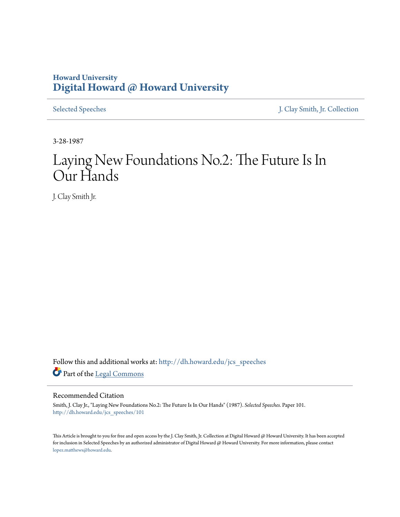## **Howard University [Digital Howard @ Howard University](http://dh.howard.edu?utm_source=dh.howard.edu%2Fjcs_speeches%2F101&utm_medium=PDF&utm_campaign=PDFCoverPages)**

[Selected Speeches](http://dh.howard.edu/jcs_speeches?utm_source=dh.howard.edu%2Fjcs_speeches%2F101&utm_medium=PDF&utm_campaign=PDFCoverPages) [J. Clay Smith, Jr. Collection](http://dh.howard.edu/jcsmith?utm_source=dh.howard.edu%2Fjcs_speeches%2F101&utm_medium=PDF&utm_campaign=PDFCoverPages)

3-28-1987

# Laying New Foundations No.2: The Future Is In Our Hands

J. Clay Smith Jr.

Follow this and additional works at: [http://dh.howard.edu/jcs\\_speeches](http://dh.howard.edu/jcs_speeches?utm_source=dh.howard.edu%2Fjcs_speeches%2F101&utm_medium=PDF&utm_campaign=PDFCoverPages) Part of the [Legal Commons](http://network.bepress.com/hgg/discipline/502?utm_source=dh.howard.edu%2Fjcs_speeches%2F101&utm_medium=PDF&utm_campaign=PDFCoverPages)

### Recommended Citation

Smith, J. Clay Jr., "Laying New Foundations No.2: The Future Is In Our Hands" (1987). *Selected Speeches.* Paper 101. [http://dh.howard.edu/jcs\\_speeches/101](http://dh.howard.edu/jcs_speeches/101?utm_source=dh.howard.edu%2Fjcs_speeches%2F101&utm_medium=PDF&utm_campaign=PDFCoverPages)

This Article is brought to you for free and open access by the J. Clay Smith, Jr. Collection at Digital Howard @ Howard University. It has been accepted for inclusion in Selected Speeches by an authorized administrator of Digital Howard @ Howard University. For more information, please contact [lopez.matthews@howard.edu.](mailto:lopez.matthews@howard.edu)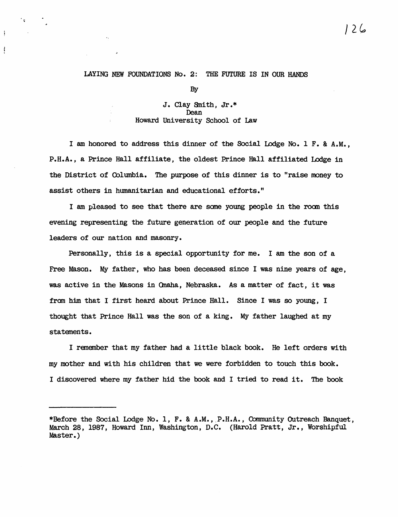#### LAYING NEW FOUNDATIONS No.2: THE FUTURE IS IN OUR HANDS

់ ៖ :

ţ

ļ

By

#### J. Clay Snith, Jr.\* Dean Howard University School of Law

I am honored to address this dinner of the Social Lodge No. 1 F. & A.M., P.H.A., a Prince Hall affiliate, the oldest Prince Hall affiliated Lodge in the District of (blumbia. The purpose of this dinner is to "raise money to assist others in humanitarian and educational efforts."

I am pleased to see that there are same young people in the room this evening representing the future generation of our people and the future leaders of our nation and masonry.

Personally, this is a special opportunity for me. I am the son of a Free Mason. My father, who has been deceased since I was nine years of age, was active in the Masons in Onaha, Nebraska. As a matter of fact, it was from him that I first heard about Prince Hall. Since I was so young, I thought that Prince Hall was the son of a king. My father laughed at my statements.

I remember that my father had a little black book. He left orders with my mother and with his children that we were forbidden to touch this book. I discovered where my father hid the book and I tried to read it. The book

/2G,

<sup>\*</sup>Before the Social Lodge No. 1, F. & A.M., P.H.A., Community Outreach Banquet, March 28, 1987, Howard Inn, Washington, D.C. (Harold Pratt, Jr., Worshipful Master.)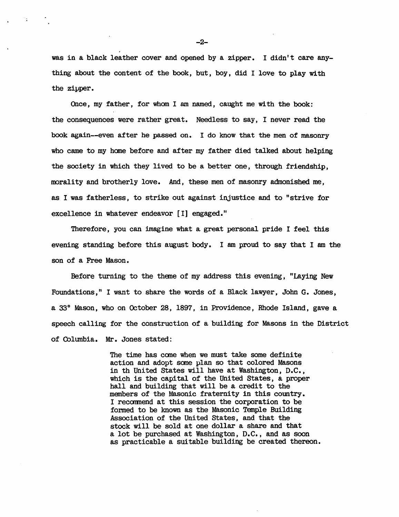was in a black leather cover and opened by a zipper. I didn't care anything about the content of the book, but, boy, did I love to play with the zipper.

Once, my father, for whom I am named, caught me with the book: the consequences were rather great. Needless to say, I never read the book again--even after he passed on. I do know that the men of masonry who came to my home before and after my father died talked about helping the society in which they lived to be a better one, through friendship, morality and brotherly love. And, these men of masonry admonished me, as I was fatherless, to strike out against injustice and to "strive for excellence in whatever endeavor [I] engaged."

Therefore, you can imagine what a great personal pride I feel this evening standing before this august body. I am proud to say that I am the son of a Free Mason.

Before turning to the theme of my address this evening, "Laying New Foundations," I want to share the words of a Black lawyer, John G. Jones, a 33° Mason, who on October 28, 1897, in Providence, Rhode Island, gave a speech calling for the construction of a building for Masons in the District of Columbia. Mr. Jones stated:

> The time has cane when we must take some definite action and adopt some plan so that colored Masons in th United States will have at Washington, D.C., which is the capital of the United States, a proper hall and building that will be a credit to the members of the Masonic fraternity in this country. I recommend at this session the corporation to be formed to be known as the Masonic Temple Building Association of the United States, and that the stock will be sold at one dollar a share and that a lot be purchased at Washington, D.C., and as soon as practicable a suitable building be created thereon.

 $-2-$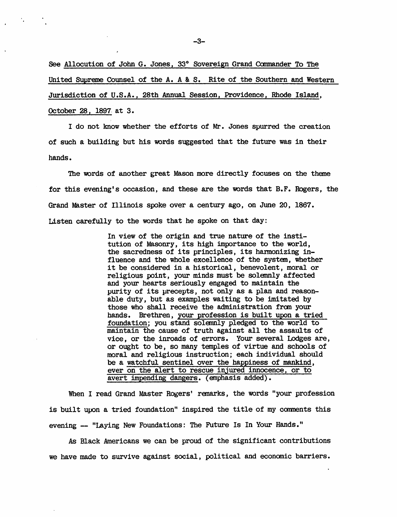See Allocution of John G. Jones, 33° Sovereign Grand Commander To The United Supreme Counsel of the A. A & S. Rite of the Southern and Western Jurisdiction of U.S.A., 28th Annual Session, Providence, Rhode Island, October 28, 1897. at 3.

I do not know whether the efforts of Mr. Jones spurred the creation of such a building but his words suggested that the future was in their hands.

The words of another great Mason more directly focuses on the theme for this evening's occasion, and these are the words that B.F. Rogers, the Grand Master of Illinois spoke over a century ago, on June 20, 1867. Listen carefully to the words that he spoke on that day:

> In view of the origin and true nature of the institution of Masonry, its high importance to the world, the sacredness of its principles, its hanmonizing influence and the whole excellence of the system, whether it be considered in a historical, benevolent, moral or religious point, your minds must be solemnly affected and your hearts seriously engaged to maintain the purity of its precepts, not only as a plan and reasonable duty, but as examples waiting to be imitated by those who shall receive the administration from your hands. Brethren, your profession is built upon a tried foundation; you stand solemnly pledged to the world to maintain the cause of truth against all the assaults of vice, or the inroads of errors. Your several Lodges are, or ought to be, so many temples of virtue and schools of moral and religious instruction; each individual should be a watchful sentinel over the happiness of mankind, ever on the alert to rescue injured innocence, or to avert impending dangers. (enphasis added).

When I read Grand Master Rogers' remarks, the words "your profession is built upon a tried foundation" inspired the title of my conments this evening -- "Laying New Foundations: The Future Is In Your Hands."

As Black Americans we can be proud of the significant contributions we have made to survive against social, political and econanic barriers.

-3-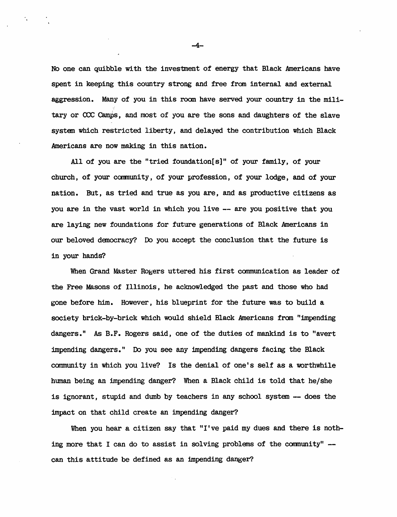No one can quibble with the investment of energy that Black Americans have spent in keeping this country strong and free from internal and external aggression. Many of you in this room have served your country in the military or  $CCC$  Camps, and most of you are the sons and daughters of the slave system which restricted liberty, and delayed the contribution which Black Americans are now making in this nation.

All of you are the "tried foundation[ $s$ ]" of your family, of your church, of your community, of your profession, of your lodge, and of your nation. But, as tried and true as you are, and as productive citizens as you are in the vast world in which you live -- are you positive that you are laying new foundations for future generations of Black Americans in our beloved danocracy? Do you accept the conclusion that the future is in your hands?

When Grand Master Rogers uttered his first communication as leader of the Free Masons of Illinois, he acknowledged the past and those who had gone before him. However, his blueprint for the future was to build a society brick-by-brick which would shield Black Americans from "impending dangers." As B.F. Rogers said, one of the duties of mankind is to "avert impending dangers." Do you see any impending dangers facing the Black community in which you live? Is the denial of one's self as a worthwhile human being an impending danger? When a Black child is told that he/she is ignorant, stupid and dumb by teachers in any school system -- does the impact on that child create an impending danger?

When you hear a citizen say that "I've paid my dues and there is nothing more that I can do to assist in solving problems of the comnunity" can this attitude be defined as an impending danger?

-4-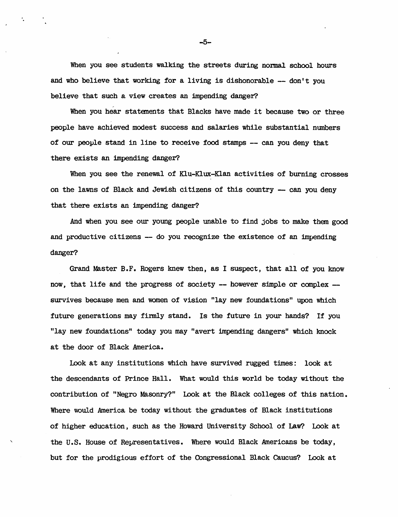When you see students walking the streets during normal school hours and who believe that working for a living is dishonorable  $-$  don't you believe that such a view creates an impending danger?

When you hear statements that Blacks have made it because two or three people have achieved modest success and salaries while substantial numbers of our people stand in line to receive food stamps -- can you deny that there exists an impending danger?

When you see the renewal of Klu-Klux-Klan activities of burning crosses on the lawns of Black and Jewish citizens of this country  $-$  can you deny that there exists an impending danger?

And when you see our young people unable to find jobs to make them good and productive citizens -- do you recognize the existence of an impending danger?

Grand Master B.F. Rogers knew then, as I suspect, that all of you know now, that life and the progress of society  $-$  however simple or complex  $$ survives because men and women of vision "lay new foundations" upon which future generations may finnly stand. Is the future in your hands? If you "lay new foundations" today you may "avert impending dangers" which knock at the door of Black America.

look at any institutions which have survived rugged times: look at the descendants of Prince Hall. What would this world be today without the contribution of "Negro Masonry?" Look at the Black colleges of this nation. Where would America be today without the graduates of Black institutions of higher education, such as the Howard University School of Law? look at the U.S. House of Representatives. Where would Black Americans be today, but for the prodigious effort of the Oongressional Black caucus? Look at

-5-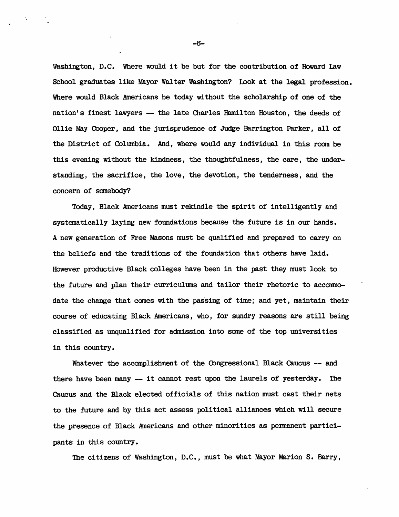Washington, D.C. Where would it be but for the contribution of Howard LAw School graduates like Mayor Walter Washington? Look at the legal profession. Where would Black Americans be today without the scholarship of one of the nation's finest 'lawyers -- the late Charles Hamilton Houston, the deeds of Ollie May Cooper, and the jurisprudence of Judge Barrington Parker, all of the District of Columbia. And, where would any individual in this room be this evening without the kindness, the thoughtfulness, the care, the understanding, the sacrifice, the love, the devotion, the tenderness, and the concern of somebody?

Today, Black Americans must rekindle the spirit of intelligently and systematically laying new foundations because the future is in our hands. A new generation of Free Masons must be qualified and prepared to carryon the beliefs and the traditions of the foundation that others have laid. However productive Black colleges have been in the past they must look to the future and plan their curriculums and tailor their rhetoric to accommodate the change that comes with the passing of time; and yet, maintain their course of educating Black Americans, who, for sundry reasons are still being classified as unqualified for admission into same of the top universities in this country.

Whatever the accomplishment of the Congressional Black Caucus -- and there have been many -- it cannot rest upon the laurels of yesterday. The Caucus and the Black elected officials of this nation must cast their nets to the future and by this act assess political alliances which will secure the presence of Black Americans and other minorities as permanent participants in this country.

The citizens of Washington, D.C., must be what Mayor Marion S. Barry,

-6-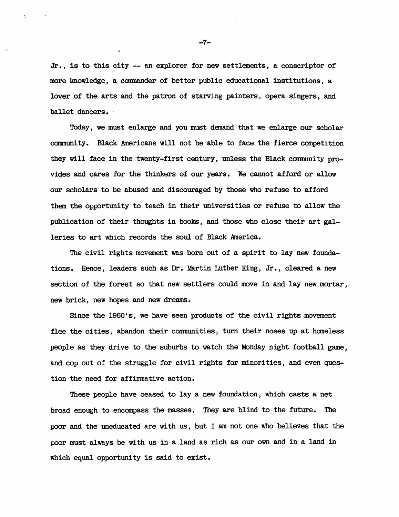$Jr.$ , is to this city  $-$  an explorer for new settlements, a conscriptor of more knowledge, a commander of better public educational institutions, a lover of the arts and the patron of starving painters, opera singers, and ballet dancers.

Today, we must enlarge and you must denand that we enlarge our scholar community. Black Americans will not be able to face the fierce competition they will face in the twenty-first century, unless the Black community provides and cares for the thinkers of our years. We cannot afford or allow our scholars to be abused and discouraged by those who refuse to afford them the opportunity to teach in their universities or refuse to allow the publication of their thoughts in books, and those who close their art galleries to art which records the soul of Black America.

The civil rights movement was born out of a spirit to lay new foundations. Hence, leaders such as Dr. Martin Luther King. Jr., cleared a new section of the forest so that new settlers could move in and lay new mortar, new brick, new hopes and new dreams.

Since the 1960's, we have seen products of the civil rights movement flee the cities, abandon their communities, turn their noses up at homeless people as they drive to the suburbs to watch the Monday night football game, and cop out of the struggle for civil rights for minorities, and even question the need for affirmative action.

These people have ceased to lay a new foundation, which casts a net broad enough to encompass the masses. They are blind to the future. The poor and the uneducated are with us, but I am not one who believes that the poor must always be with us in a land as rich as our own and in a land in which equal opportunity is said to exist.

 $-7-$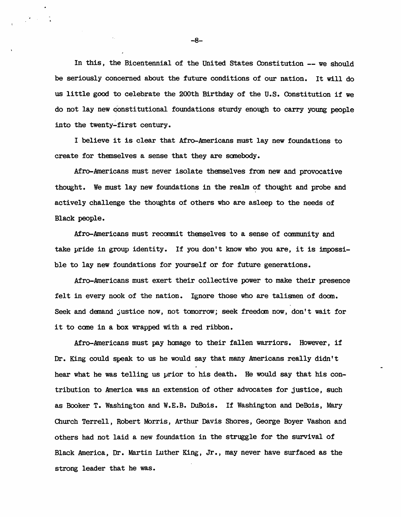In this, the Bicentennial of the United States Constitution -- we should be seriously concerned about the future conditions of our nation. It will do us little good to celebrate the 200th Birthday of the U.S. Constitution if we do not lay new qonstitutional foundations sturdy enough to carry young people into the twenty-first century.

I believe it is clear that Afro-Americans must lay new foundations to create for themselves a sense that they are somebody.

Afro-Americans must never isolate themselves from new and provocative thought. We must lay new foundations in the realm of thought and probe and actively challenge the thoughts of others who are asleep to the needs of Black people.

Afro-Americans must recommit themselves to a sense of community and take pride in group identity. If you don't know who you are, it is impossible to lay new foundations for yourself or for future generations.

Afro-Americans must exert their collective power to make their presence felt in every nook of the nation. Ignore those who are talismen of doom. Seek and demand justice now, not tomorrow; seek freedom now, don't wait for it to come in a box wrapped with a red ribbon.

Afro-Americans must pay homage to their fallen warriors. However, if  $Dr.$  King could speak to us he would say that many Americans really didn't hear what he was telling us prior to his death. He would say that his contribution to America was an extension of other advocates for justice, such as Booker T. Washington and W.E.B. DuBois. If Washington and DeBois, Mary Church Terrell, Robert Morris, Arthur Davis Shores, George Boyer Vashon and others had not laid a new foundation in the struggle for the survival of Black America, Dr. Martin Luther King, Jr., may never have surfaced as the strong leader that he was.

-8-

 $\mathbf{V}=\mathbf{V}$